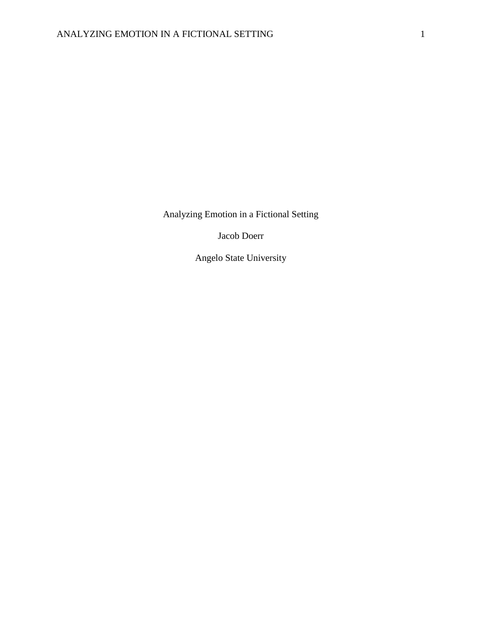Analyzing Emotion in a Fictional Setting

Jacob Doerr

Angelo State University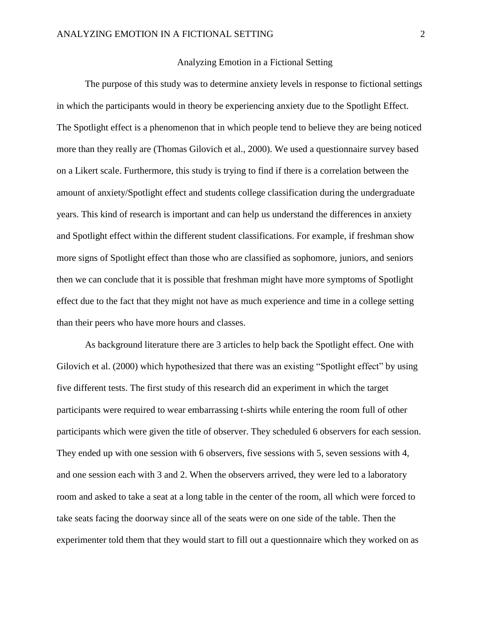## Analyzing Emotion in a Fictional Setting

The purpose of this study was to determine anxiety levels in response to fictional settings in which the participants would in theory be experiencing anxiety due to the Spotlight Effect. The Spotlight effect is a phenomenon that in which people tend to believe they are being noticed more than they really are (Thomas Gilovich et al., 2000). We used a questionnaire survey based on a Likert scale. Furthermore, this study is trying to find if there is a correlation between the amount of anxiety/Spotlight effect and students college classification during the undergraduate years. This kind of research is important and can help us understand the differences in anxiety and Spotlight effect within the different student classifications. For example, if freshman show more signs of Spotlight effect than those who are classified as sophomore, juniors, and seniors then we can conclude that it is possible that freshman might have more symptoms of Spotlight effect due to the fact that they might not have as much experience and time in a college setting than their peers who have more hours and classes.

As background literature there are 3 articles to help back the Spotlight effect. One with Gilovich et al. (2000) which hypothesized that there was an existing "Spotlight effect" by using five different tests. The first study of this research did an experiment in which the target participants were required to wear embarrassing t-shirts while entering the room full of other participants which were given the title of observer. They scheduled 6 observers for each session. They ended up with one session with 6 observers, five sessions with 5, seven sessions with 4, and one session each with 3 and 2. When the observers arrived, they were led to a laboratory room and asked to take a seat at a long table in the center of the room, all which were forced to take seats facing the doorway since all of the seats were on one side of the table. Then the experimenter told them that they would start to fill out a questionnaire which they worked on as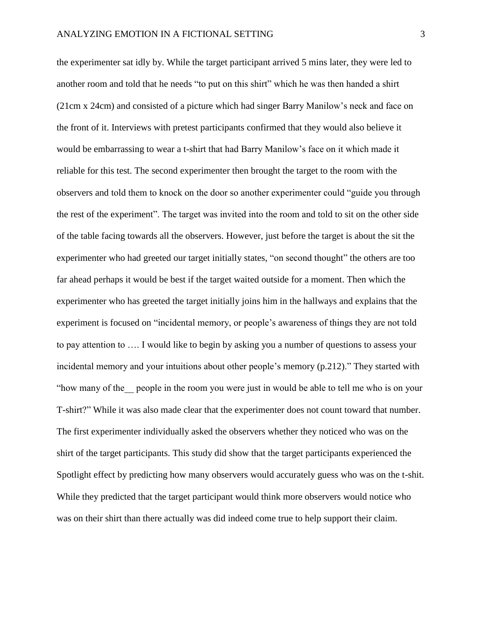the experimenter sat idly by. While the target participant arrived 5 mins later, they were led to another room and told that he needs "to put on this shirt" which he was then handed a shirt (21cm x 24cm) and consisted of a picture which had singer Barry Manilow's neck and face on the front of it. Interviews with pretest participants confirmed that they would also believe it would be embarrassing to wear a t-shirt that had Barry Manilow's face on it which made it reliable for this test. The second experimenter then brought the target to the room with the observers and told them to knock on the door so another experimenter could "guide you through the rest of the experiment". The target was invited into the room and told to sit on the other side of the table facing towards all the observers. However, just before the target is about the sit the experimenter who had greeted our target initially states, "on second thought" the others are too far ahead perhaps it would be best if the target waited outside for a moment. Then which the experimenter who has greeted the target initially joins him in the hallways and explains that the experiment is focused on "incidental memory, or people's awareness of things they are not told to pay attention to …. I would like to begin by asking you a number of questions to assess your incidental memory and your intuitions about other people's memory (p.212)." They started with "how many of the\_\_ people in the room you were just in would be able to tell me who is on your T-shirt?" While it was also made clear that the experimenter does not count toward that number. The first experimenter individually asked the observers whether they noticed who was on the shirt of the target participants. This study did show that the target participants experienced the Spotlight effect by predicting how many observers would accurately guess who was on the t-shit. While they predicted that the target participant would think more observers would notice who was on their shirt than there actually was did indeed come true to help support their claim.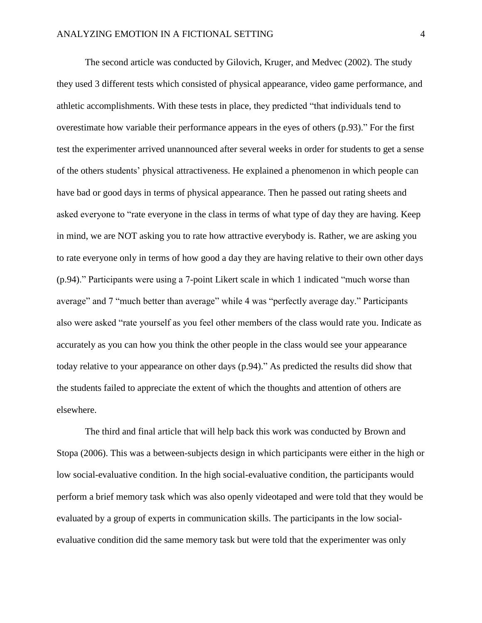The second article was conducted by Gilovich, Kruger, and Medvec (2002). The study they used 3 different tests which consisted of physical appearance, video game performance, and athletic accomplishments. With these tests in place, they predicted "that individuals tend to overestimate how variable their performance appears in the eyes of others (p.93)." For the first test the experimenter arrived unannounced after several weeks in order for students to get a sense of the others students' physical attractiveness. He explained a phenomenon in which people can have bad or good days in terms of physical appearance. Then he passed out rating sheets and asked everyone to "rate everyone in the class in terms of what type of day they are having. Keep in mind, we are NOT asking you to rate how attractive everybody is. Rather, we are asking you to rate everyone only in terms of how good a day they are having relative to their own other days (p.94)." Participants were using a 7-point Likert scale in which 1 indicated "much worse than average" and 7 "much better than average" while 4 was "perfectly average day." Participants also were asked "rate yourself as you feel other members of the class would rate you. Indicate as accurately as you can how you think the other people in the class would see your appearance today relative to your appearance on other days (p.94)." As predicted the results did show that the students failed to appreciate the extent of which the thoughts and attention of others are elsewhere.

The third and final article that will help back this work was conducted by Brown and Stopa (2006). This was a between-subjects design in which participants were either in the high or low social-evaluative condition. In the high social-evaluative condition, the participants would perform a brief memory task which was also openly videotaped and were told that they would be evaluated by a group of experts in communication skills. The participants in the low socialevaluative condition did the same memory task but were told that the experimenter was only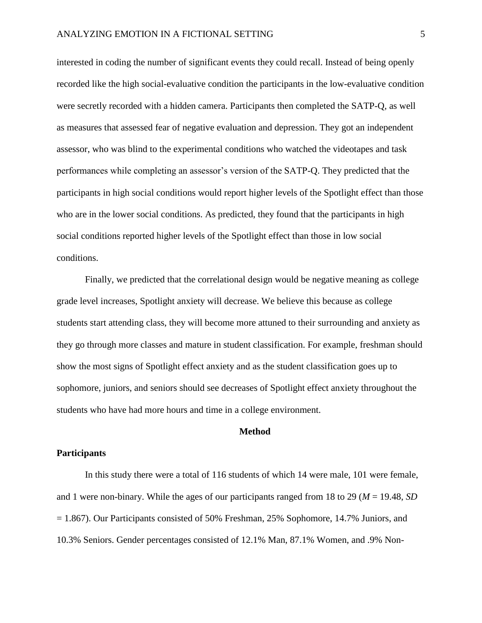interested in coding the number of significant events they could recall. Instead of being openly recorded like the high social-evaluative condition the participants in the low-evaluative condition were secretly recorded with a hidden camera. Participants then completed the SATP-Q, as well as measures that assessed fear of negative evaluation and depression. They got an independent assessor, who was blind to the experimental conditions who watched the videotapes and task performances while completing an assessor's version of the SATP-Q. They predicted that the participants in high social conditions would report higher levels of the Spotlight effect than those who are in the lower social conditions. As predicted, they found that the participants in high social conditions reported higher levels of the Spotlight effect than those in low social conditions.

Finally, we predicted that the correlational design would be negative meaning as college grade level increases, Spotlight anxiety will decrease. We believe this because as college students start attending class, they will become more attuned to their surrounding and anxiety as they go through more classes and mature in student classification. For example, freshman should show the most signs of Spotlight effect anxiety and as the student classification goes up to sophomore, juniors, and seniors should see decreases of Spotlight effect anxiety throughout the students who have had more hours and time in a college environment.

## **Method**

#### **Participants**

In this study there were a total of 116 students of which 14 were male, 101 were female, and 1 were non-binary. While the ages of our participants ranged from 18 to 29 (*M* = 19.48, *SD* = 1.867). Our Participants consisted of 50% Freshman, 25% Sophomore, 14.7% Juniors, and 10.3% Seniors. Gender percentages consisted of 12.1% Man, 87.1% Women, and .9% Non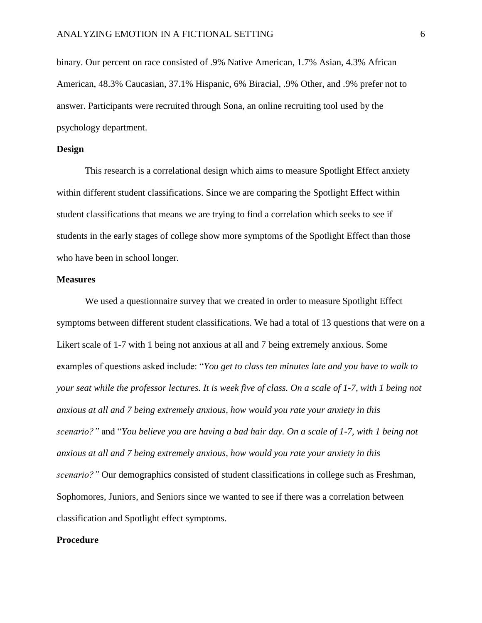binary. Our percent on race consisted of .9% Native American, 1.7% Asian, 4.3% African American, 48.3% Caucasian, 37.1% Hispanic, 6% Biracial, .9% Other, and .9% prefer not to answer. Participants were recruited through Sona, an online recruiting tool used by the psychology department.

### **Design**

This research is a correlational design which aims to measure Spotlight Effect anxiety within different student classifications. Since we are comparing the Spotlight Effect within student classifications that means we are trying to find a correlation which seeks to see if students in the early stages of college show more symptoms of the Spotlight Effect than those who have been in school longer.

#### **Measures**

We used a questionnaire survey that we created in order to measure Spotlight Effect symptoms between different student classifications. We had a total of 13 questions that were on a Likert scale of 1-7 with 1 being not anxious at all and 7 being extremely anxious. Some examples of questions asked include: "*You get to class ten minutes late and you have to walk to your seat while the professor lectures. It is week five of class. On a scale of 1-7, with 1 being not anxious at all and 7 being extremely anxious, how would you rate your anxiety in this scenario?"* and "*You believe you are having a bad hair day. On a scale of 1-7, with 1 being not anxious at all and 7 being extremely anxious, how would you rate your anxiety in this scenario?"* Our demographics consisted of student classifications in college such as Freshman, Sophomores, Juniors, and Seniors since we wanted to see if there was a correlation between classification and Spotlight effect symptoms.

#### **Procedure**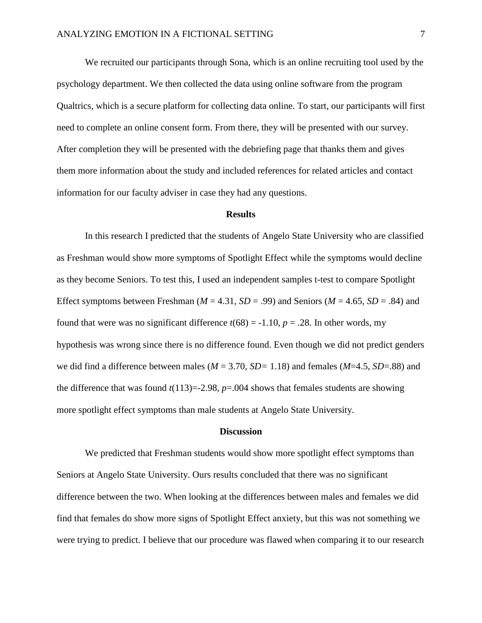We recruited our participants through Sona, which is an online recruiting tool used by the psychology department. We then collected the data using online software from the program Qualtrics, which is a secure platform for collecting data online. To start, our participants will first need to complete an online consent form. From there, they will be presented with our survey. After completion they will be presented with the debriefing page that thanks them and gives them more information about the study and included references for related articles and contact information for our faculty adviser in case they had any questions.

#### **Results**

In this research I predicted that the students of Angelo State University who are classified as Freshman would show more symptoms of Spotlight Effect while the symptoms would decline as they become Seniors. To test this, I used an independent samples t-test to compare Spotlight Effect symptoms between Freshman ( $M = 4.31$ ,  $SD = .99$ ) and Seniors ( $M = 4.65$ ,  $SD = .84$ ) and found that were was no significant difference  $t(68) = -1.10$ ,  $p = .28$ . In other words, my hypothesis was wrong since there is no difference found. Even though we did not predict genders we did find a difference between males ( $M = 3.70$ ,  $SD = 1.18$ ) and females ( $M = 4.5$ ,  $SD = .88$ ) and the difference that was found  $t(113)=2.98$ ,  $p=.004$  shows that females students are showing more spotlight effect symptoms than male students at Angelo State University.

#### **Discussion**

We predicted that Freshman students would show more spotlight effect symptoms than Seniors at Angelo State University. Ours results concluded that there was no significant difference between the two. When looking at the differences between males and females we did find that females do show more signs of Spotlight Effect anxiety, but this was not something we were trying to predict. I believe that our procedure was flawed when comparing it to our research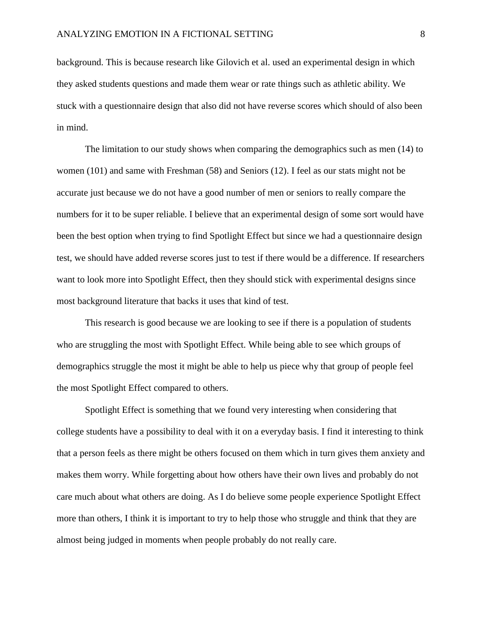background. This is because research like Gilovich et al. used an experimental design in which they asked students questions and made them wear or rate things such as athletic ability. We stuck with a questionnaire design that also did not have reverse scores which should of also been in mind.

The limitation to our study shows when comparing the demographics such as men (14) to women (101) and same with Freshman (58) and Seniors (12). I feel as our stats might not be accurate just because we do not have a good number of men or seniors to really compare the numbers for it to be super reliable. I believe that an experimental design of some sort would have been the best option when trying to find Spotlight Effect but since we had a questionnaire design test, we should have added reverse scores just to test if there would be a difference. If researchers want to look more into Spotlight Effect, then they should stick with experimental designs since most background literature that backs it uses that kind of test.

This research is good because we are looking to see if there is a population of students who are struggling the most with Spotlight Effect. While being able to see which groups of demographics struggle the most it might be able to help us piece why that group of people feel the most Spotlight Effect compared to others.

Spotlight Effect is something that we found very interesting when considering that college students have a possibility to deal with it on a everyday basis. I find it interesting to think that a person feels as there might be others focused on them which in turn gives them anxiety and makes them worry. While forgetting about how others have their own lives and probably do not care much about what others are doing. As I do believe some people experience Spotlight Effect more than others, I think it is important to try to help those who struggle and think that they are almost being judged in moments when people probably do not really care.